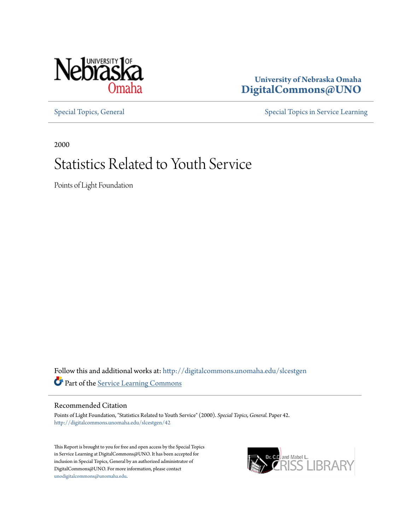

# **University of Nebraska Omaha [DigitalCommons@UNO](http://digitalcommons.unomaha.edu?utm_source=digitalcommons.unomaha.edu%2Fslcestgen%2F42&utm_medium=PDF&utm_campaign=PDFCoverPages)**

[Special Topics, General](http://digitalcommons.unomaha.edu/slcestgen?utm_source=digitalcommons.unomaha.edu%2Fslcestgen%2F42&utm_medium=PDF&utm_campaign=PDFCoverPages) [Special Topics in Service Learning](http://digitalcommons.unomaha.edu/slcespecialtopics?utm_source=digitalcommons.unomaha.edu%2Fslcestgen%2F42&utm_medium=PDF&utm_campaign=PDFCoverPages)

2000

# Statistics Related to Youth Service

Points of Light Foundation

Follow this and additional works at: [http://digitalcommons.unomaha.edu/slcestgen](http://digitalcommons.unomaha.edu/slcestgen?utm_source=digitalcommons.unomaha.edu%2Fslcestgen%2F42&utm_medium=PDF&utm_campaign=PDFCoverPages) Part of the [Service Learning Commons](http://network.bepress.com/hgg/discipline/1024?utm_source=digitalcommons.unomaha.edu%2Fslcestgen%2F42&utm_medium=PDF&utm_campaign=PDFCoverPages)

Recommended Citation

Points of Light Foundation, "Statistics Related to Youth Service" (2000). *Special Topics, General.* Paper 42. [http://digitalcommons.unomaha.edu/slcestgen/42](http://digitalcommons.unomaha.edu/slcestgen/42?utm_source=digitalcommons.unomaha.edu%2Fslcestgen%2F42&utm_medium=PDF&utm_campaign=PDFCoverPages)

This Report is brought to you for free and open access by the Special Topics in Service Learning at DigitalCommons@UNO. It has been accepted for inclusion in Special Topics, General by an authorized administrator of DigitalCommons@UNO. For more information, please contact [unodigitalcommons@unomaha.edu](mailto:unodigitalcommons@unomaha.edu).

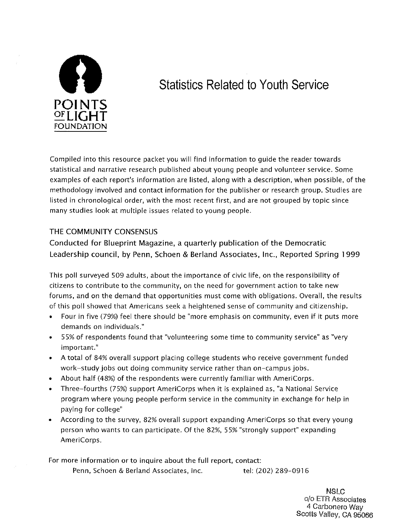

# **Statistics Related to Youth Service**

Compiled into this resource packet you will find information to guide the reader towards statistical and narrative research published about young people and volunteer service. Some examples of each report's information are listed, along with a description, when possible, of the methodology involved and contact information for the publisher or research group. Studies are listed in chronological order, with the most recent first, and are not grouped by topic since many studies look at multiple issues related to young people.

## THE COMMUNITY CONSENSUS

Conducted for Blueprint Magazine, a quarterly publication of the Democratic Leadership council, by Penn, Schoen & Berland Associates, Inc., Reported Spring 1999

This poll surveyed 509 adults, about the importance of civic life, on the responsibility of citizens to contribute to the community, on the need for government action to take new forums, and on the demand that opportunities must come with obligations. Overall, the results of this poll showed that Americans seek a heightened sense of community and citizenship.

- Four in five (79%) feel there should be "more emphasis on community, even if it puts more demands on individuals."
- 55% of respondents found that "volunteering some time to community service" as "very important."
- A total of 84% overall support placing college students who receive government funded work-study jobs out doing community service rather than on-campus jobs.
- About half (48%) of the respondents were currently familiar with AmeriCorps.
- Three-fourths (75%) support AmeriCorps when it is explained as, "a National Service program where young people perform service in the community in exchange for help in paying for college"
- According to the survey, 82% overall support expanding AmeriCorps so that every young person who wants to can participate. Of the 82%, 55% "strongly support" expanding AmeriCorps.

For more information or to inquire about the full report, contact: Penn, Schoen & Berland Associates, Inc. tel: (202) 289-0916

> NSLC c/o ETR Associates 4 Carbonero Way Scotts Valley, CA 95066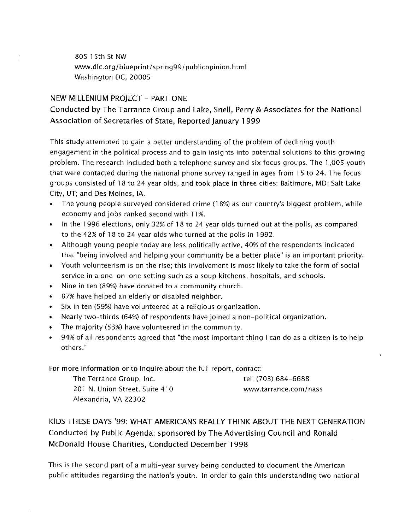805 15th St NW www.dlc.org/blueprint/spring99/publicopinion.html Washington DC, 20005

## NEW MILLENIUM PROJECT- PART ONE

## Conducted by The Tarrance Group and Lake, Snell, Perry & Associates for the National Association of Secretaries of State, Reported January 1 999

This study attempted to gain a better understanding of the problem of declining youth engagement in the political process and to gain insights into potential solutions to this growing problem. The research included both a telephone survey and six focus groups. The 1,005 youth that were contacted during the national phone survey ranged in ages from 15 to 24. The focus groups consisted of 18 to 24 year olds, and took place in three cities: Baltimore, MD; Salt Lake City, UT; and Des Moines, lA.

- The young people surveyed considered crime (18%) as our country's biggest problem, while economy and jobs ranked second with 11%.
- In the 1996 elections, only 32% of 18 to 24 year olds turned out at the polls, as compared to the 42% of 18 to 24 year olds who turned at the polls in 1992.
- Although young people today are less politically active, 40% of the respondents indicated that "being involved and helping your community be a better place" is an important priority.
- Youth volunteerism is on the rise; this involvement is most likely to take the form of social service in a one-on-one setting such as a soup kitchens, hospitals, and schools.
- Nine in ten (89%) have donated to a community church.
- 87% have helped an elderly or disabled neighbor.
- Six in ten (59%) have volunteered at a religious organization.
- Nearly two-thirds (64%) of respondents have joined a non-political organization.
- The majority (53%) have volunteered in the community.
- 94% of all respondents agreed that "the most important thing I can do as a citizen is to help others."

For more information or to inquire about the full report, contact:

| The Terrance Group, Inc.       | tel: (703) 684-6688   |
|--------------------------------|-----------------------|
| 201 N. Union Street, Suite 410 | www.tarrance.com/nass |
| Alexandria, VA 22302           |                       |

KIDS THESE DAYS '99: WHAT AMERICANS REALLY THINK ABOUT THE NEXT GENERATION Conducted by Public Agenda; sponsored by The Advertising Council and Ronald McDonald House Charities, Conducted December 1998

This is the second part of a multi-year survey being conducted to document the American public attitudes regarding the nation's youth. In order to gain this understanding two national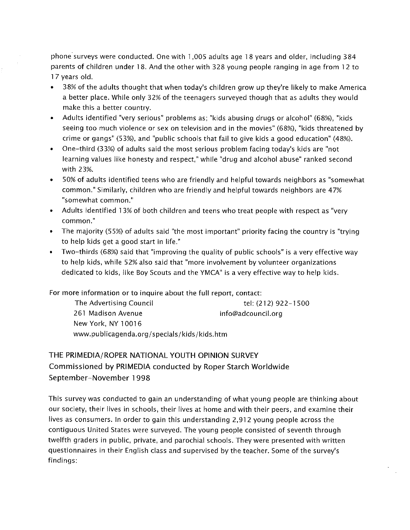phone surveys were conducted. One with 1,005 adults age 18 years and older, including 384 parents of children under 18. And the other with 328 young people ranging in age from 12 to 17 years old.

- 38% of the adults thought that when today's children grow up they're likely to make America a better place. While only 32% of the teenagers surveyed though that as adults they would make this a better country.
- Adults identified "very serious" problems as; "kids abusing drugs or alcohol" (68%), "kids seeing too much violence or sex on television and in the movies" (68%), "kids threatened by crime or gangs" (53%), and "public schools that fail to give kids a good education" (48%).
- One-third (33%) of adults said the most serious problem facing today's kids are "not learning values like honesty and respect," while "drug and alcohol abuse" ranked second with 23%.
- 50% of adults identified teens who are friendly and helpful towards neighbors as "somewhat common." Similarly, children who are friendly and helpful towards neighbors are 47% "somewhat common."
- Adults identified 1 3% of both children and teens who treat people with respect as "very **common."**
- The majority (55%) of adults said "the most important" priority facing the country is "trying to help kids get a good start in life."
- Two-thirds (68%) said that "improving the quality of public schools" is a very effective way to help kids, while 52% also said that "more involvement by volunteer organizations dedicated to kids, like Boy Scouts and the YMCA" is a very effective way to help kids.

For more information or to inquire about the full report, contact:

The Advertising Council tel: (212) 922-1500 261 Madison Avenue New York, NY 10016 info@adcouncil.org www.publicagenda.org/specials/kids/kids.htm

# THE PRIMEDIA/ROPER NATIONAL YOUTH OPINION SURVEY Commissioned by PRIMEDIA conducted by Roper Starch Worldwide September-November 1998

This survey was conducted to gain an understanding of what young people are thinking about our society, their lives in schools, their lives at home and with their peers, and examine their lives as consumers. In order to gain this understanding 2,912 young people across the contiguous United States were surveyed. The young people consisted of seventh through twelfth graders in public, private, and parochial schools. They were presented with written questionnaires in their English class and supervised by the teacher. Some of the survey's findings: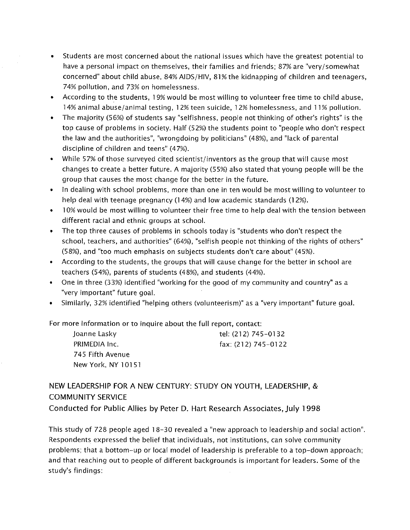- Students are most concerned about the national issues which have the greatest potential to have a personal impact on themselves, their families and friends; 87% are "very/somewhat concerned" about child abuse, 84% AIDS/HIV, 81% the kidnapping of children and teenagers, 74% pollution, and 73% on homelessness.
- According to the students, 1 9% would be most willing to volunteer free time to child abuse, 14% animal abuse/animal testing, 12% teen suicide, 12% homelessness, and 11% pollution.
- The majority (56%) of students say "selfishness, people not thinking of other's rights" is the top cause of problems in society. Half (52%) the students point to "people who don't respect the law and the authorities", "wrongdoing by politicians" (48%), and "lack of parental discipline of children and teens" (4 7%).
- While 57% of those surveyed cited scientist/inventors as the group that will cause most changes to create a better future. A majority (55%) also stated that young people will be the group that causes the most change for the better in the future.
- In dealing with school problems, more than one in ten would be most willing to volunteer to help deal with teenage pregnancy (14%) and low academic standards (12%).
- 10% would be most willing to volunteer their free time to help deal with the tension between different racial and ethnic groups at school.
- The top three causes of problems in schools today is "students who don't respect the school, teachers, and authorities" (64%), "selfish people not thinking of the rights of others" (58%), and "too much emphasis on subjects students don't care about" (45%).
- According to the students, the groups that will cause change for the better in school are teachers (54%), parents of students (48%), and students (44%).
- One in three (33%) identified "working for the good of my community and country" as a "very important" future goal.
- Similarly, 32% identified "helping others (volunteerism)" as a "very important" future goal.

For more information or to inquire about the full report, contact:

| Joanne Lasky       | tel: (212) 745-0132 |
|--------------------|---------------------|
| PRIMEDIA Inc.      | fax: (212) 745-0122 |
| 745 Fifth Avenue   |                     |
| New York, NY 10151 |                     |

NEW LEADERSHIP FOR A NEW CENTURY: STUDY ON YOUTH, LEADERSHIP, & COMMUNITY SERVICE

Conducted for Public Allies by Peter D. Hart Research Associates, july 1998

This study of 728 people aged 18-30 revealed a "new approach to leadership and social action". Respondents expressed the belief that individuals, not institutions, can solve community problems; that a bottom-up or local model of leadership is preferable to a top-down approach; and that reaching out to people of different backgrounds is important for leaders. Some of the study's findings: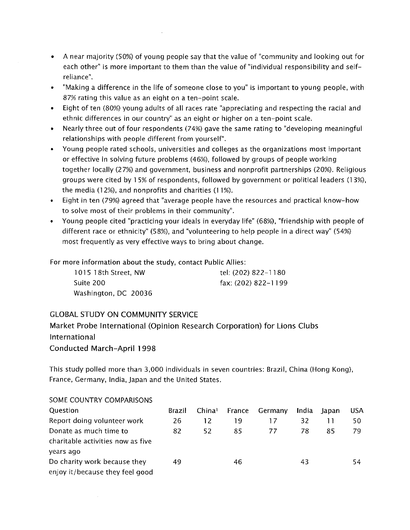- A near majority (SO%) of young people say that the value of "community and looking out for each other" is more important to them than the value of "individual responsibility and selfreliance".
- "Making a difference in the life of someone close to you" is important to young people, with 87% rating this value as an eight on a ten-point scale.
- Eight of ten (80%) young adults of all races rate "appreciating and respecting the racial and ethnic differences in our country" as an eight or higher on a ten-point scale.
- Nearly three out of four respondents (74%) gave the same rating to "developing meaningful relationships with people different from yourself".
- Young people rated schools, universities and colleges as the organizations most important or effective in solving future problems (46%), followed by groups of people working together locally (27%) and government, business and nonprofit partnerships (20%). Religious groups were cited by 1 5% of respondents, followed by government or political leaders (1 3%), the media (12%), and nonprofits and charities (11%).
- Eight in ten (79%) agreed that "average people have the resources and practical know-how to solve most of their problems in their community".
- Young people cited "practicing your ideals in everyday life" (68%), "friendship with people of different race or ethnicity" (58%), and "volunteering to help people in a direct way" (54%) most frequently as very effective ways to bring about change.

For more information about the study, contact Public Allies:

| 1015 18th Street, NW | tel: (202) 822-1180 |
|----------------------|---------------------|
| Suite 200            | fax: (202) 822-1199 |
| Washington, DC 20036 |                     |

## GLOBAL STUDY ON COMMUNITY SERVICE

Market Probe International (Opinion Research Corporation) for Lions Clubs International Conducted March-April 1998

This study polled more than 3,000 individuals in seven countries: Brazil, China (Hong Kong), France, Germany, India, Japan and the United States.

| SOME COUNTRY COMPARISONS          |        |                    |        |         |       |       |            |
|-----------------------------------|--------|--------------------|--------|---------|-------|-------|------------|
| <b>Ouestion</b>                   | Brazil | China <sup>1</sup> | France | Germany | India | Japan | <b>USA</b> |
| Report doing volunteer work       | 26     | 12                 | 19     | 17      | 32    |       | 50.        |
| Donate as much time to            | 82     | 52                 | 85     | 77      | 78    | 85    | 79.        |
| charitable activities now as five |        |                    |        |         |       |       |            |
| years ago                         |        |                    |        |         |       |       |            |
| Do charity work because they      | 49     |                    | 46     |         | 43    |       | 54         |
| enjoy it/because they feel good   |        |                    |        |         |       |       |            |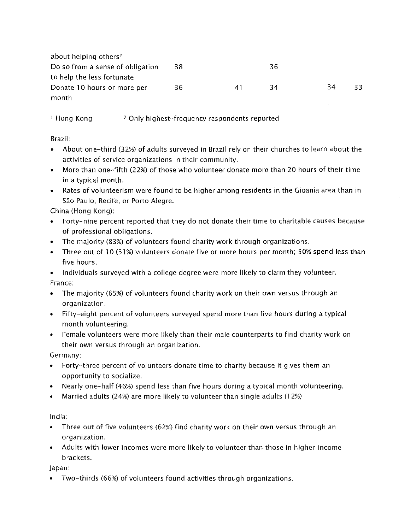| about helping others <sup>2</sup> |    |    |    |    |    |
|-----------------------------------|----|----|----|----|----|
| Do so from a sense of obligation  | 38 |    | 36 |    |    |
| to help the less fortunate        |    |    |    |    |    |
| Donate 10 hours or more per       | 36 | 41 | 34 | 34 | 33 |
| month                             |    |    |    |    |    |

<sup>1</sup> Hong Kong <sup>2</sup> Only highest-frequency respondents reported

Brazil:

- About one-third (32%) of adults surveyed in Brazil rely on their churches to learn about the activities of service organizations in their community.
- More than one-fifth (22%) of those who volunteer donate more than 20 hours of their time in a typical month.
- Rates of volunteerism were found to be higher among residents in the Gioania area than in São Paulo, Recife, or Porto Alegre.

China (Hong Kong):

- Forty-nine percent reported that they do not donate their time to charitable causes because of professional obligations.
- The majority (83%) of volunteers found charity work through organizations.
- Three out of 10 (31%) volunteers donate five or more hours per month; 50% spend less than five hours.

• Individuals surveyed with a college degree were more likely to claim they volunteer. France:

- The majority (65%) of volunteers found charity work on their own versus through an organization.
- Fifty-eight percent of volunteers surveyed spend more than five hours during a typical month volunteering.
- Female volunteers were more likely than their male counterparts to find charity work on their own versus through an organization.

Germany:

- Forty-three percent of volunteers donate time to charity because it gives them an opportunity to socialize.
- Nearly one-half (46%) spend less than five hours during a typical month volunteering.
- Married adults (24%) are more likely to volunteer than single adults (1 2%)

India:

- Three out of five volunteers (62%) find charity work on their own versus through an organization.
- Adults with lower incomes were more likely to volunteer than those in higher income brackets.

Japan:

• Two-thirds (66%) of volunteers found activities through organizations.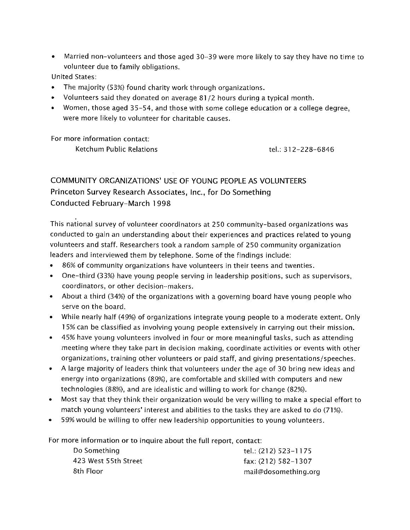• Married non-volunteers and those aged 30-39 were more likely to say they have no time to volunteer due to family obligations.

United States:

- The majority (53%) found charity work through organizations.
- Volunteers said they donated on average 81/2 hours during a typical month.
- Women, those aged 35-54, and those with some college education or a college degree, were more likely to volunteer for charitable causes.

For more information contact:

Ketchum Public Relations tel.: 312-228-6846

# COMMUNITY ORGANIZATIONS' USE OF YOUNG PEOPLE AS VOLUNTEERS Princeton Survey Research Associates, Inc., for Do Something Conducted February-March 1998

This national survey of volunteer coordinators at 250 community-based organizations was conducted to gain an understanding about their experiences and practices related to young volunteers and staff. Researchers took a random sample of 2 50 community organization leaders and interviewed them by telephone. Some of the findings include:

- 86% of community organizations have volunteers in their teens and twenties.
- One-third (33%) have young people serving in leadership positions, such as supervisors, coordinators, or other decision-makers.
- About a third (34%) of the organizations with a governing board have young people who serve on the board.
- While nearly half (49%) of organizations integrate young people to a moderate extent. Only 1 5% can be classified as involving young people extensively in carrying out their mission.
- 45% have young volunteers involved in four or more meaningful tasks, such as attending meeting where they take part in decision making, coordinate activities or events with other organizations, training other volunteers or paid staff, and giving presentations/speeches.
- A large majority of leaders think that volunteers under the age of 30 bring new ideas and energy into organizations (89%), are comfortable and skilled with computers and new technologies (88%), and are idealistic and willing to work for change (82%).
- Most say that they think their organization would be very willing to make a special effort to match young volunteers' interest and abilities to the tasks they are asked to do (71%).
- 59% would be willing to offer new leadership opportunities to young volunteers.

For more information or to inquire about the full report, contact:

| tel.: (212) 523-1175  |
|-----------------------|
| fax: $(212)$ 582-1307 |
| mail@dosomething.org  |
|                       |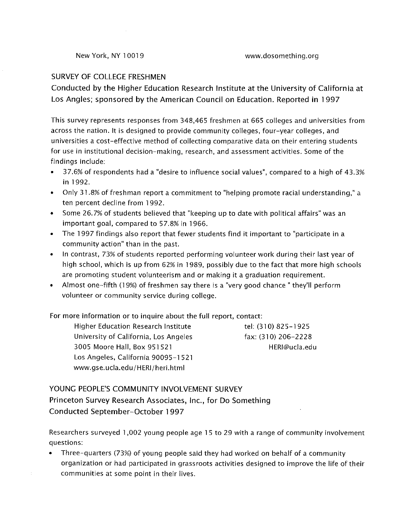## SURVEY OF COLLEGE FRESHMEN

Conducted by the Higher Education Research Institute at the University of California at Los Angles; sponsored by the American Council on Education. Reported in 1997

This survey represents responses from 348,465 freshmen at 665 colleges and universities from across the nation. It is designed to provide community colleges, four-year colleges, and universities a cost-effective method of collecting comparative data on their entering students for use in institutional decision-making, research, and assessment activities. Some of the findings include:

- 37.6% of respondents had a "desire to influence social values", compared to a high of 43.3% in 1992.
- Only 31.8% of freshman report a commitment to "helping promote racial understanding," a ten percent decline from 1992.
- Some 26.7% of students believed that "keeping up to date with political affairs" was an important goal, compared to 57.8% in 1966.
- The 1 997 findings also report that fewer students find it important to "participate in a community action" than in the past.
- In contrast, 73% of students reported performing volunteer work during their last year of high school, which is up from 62% in 1989, possibly due to the fact that more high schools are promoting student volunteerism and or making it a graduation requirement.
- Almost one-fifth (1 9%) of freshmen say there is a "very good chance" they'll perform volunteer or community service during college.

## For more information or to inquire about the full report, contact:

Higher Education Research Institute The tel: (310) 825-1925 University of California, Los Angeles 3005 Moore Hall, Box 951521 Los Angeles, California 90095-1521 www.gse.ucla.edu/HERI/heri.html

fax: (310) 206-2228 HERI@ucla.edu

## YOUNG PEOPLE'S COMMUNITY INVOLVEMENT SURVEY Princeton Survey Research Associates, Inc., for Do Something Conducted September-October 1997

Researchers surveyed 1 ,002 young people age 1 5 to 29 with a range of community involvement questions:

• Three-quarters (73%) of young people said they had worked on behalf of a community organization or had participated in grassroots activities designed to improve the life of their communities at some point in their lives.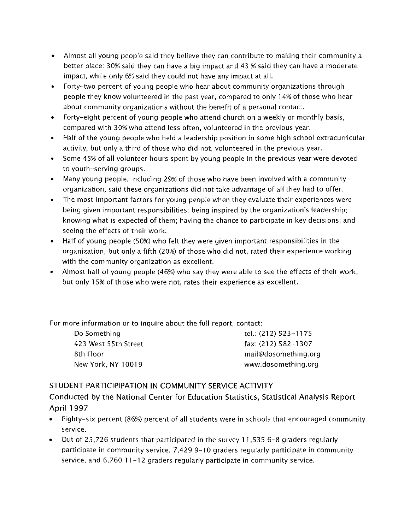- Almost all young people said they believe they can contribute to making their community a better place: 30% said they can have a big impact and 43 % said they can have a moderate impact, while only 6% said they could not have any impact at all.
- Forty-two percent of young people who hear about community organizations through people they know volunteered in the past year, compared to only 14% of those who hear about community organizations without the benefit of a personal contact.
- Forty-eight percent of young people who attend church on a weekly or monthly basis, compared with 30% who attend less often, volunteered in the previous year.
- Half of the young people who held a leadership position in some high school extracurricular activity, but only a third of those who did not, volunteered in the previous year.
- Some 45% of all volunteer hours spent by young people in the previous year were devoted to youth-serving groups.
- Many young people, including 29% of those who have been involved with a community organization, said these organizations did not take advantage of all they had to offer.
- The most important factors for young people when they evaluate their experiences were being given important responsibilities; being inspired by the organization's leadership; knowing what is expected of them; having the chance to participate in key decisions; and seeing the effects of their work.
- Half of young people (SO%) who felt they were given important responsibilities in the organization, but only a fifth (20%) of those who did not, rated their experience working with the community organization as excellent.
- Almost half of young people (46%) who say they were able to see the effects of their work, but only 1 5% of those who were not, rates their experience as excellent.

For more information or to inquire about the full report, contact:

Do Something tel.: (212) 523-1175 423 West 55th Street fax: (212) 582-1307

8th Floor mail@dosomething.org New York, NY 10019 www.dosomething.org

## STUDENT PARTICIPIPATION IN COMMUNITY SERVICE ACTIVITY

Conducted by the National Center for Education Statistics, Statistical Analysis Report April 1997

- Eighty-six percent (86%) percent of all students were in schools that encouraged community service.
- Out of 25,726 students that participated in the survey 11,535 6-8 graders regularly participate in community service, 7,429 9-10 graders regularly participate in community service, and 6,760 11-12 graders regularly participate in community service.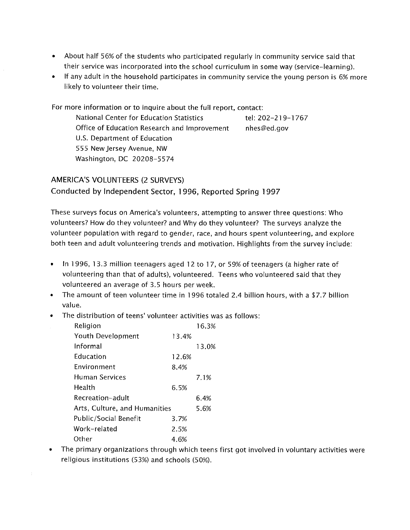- About half 56% of the students who participated regularly in community service said that their service was incorporated into the school curriculum in some way (service-learning).
- If any adult in the household participates in community service the young person is 6% more likely to volunteer their time.

For more information or to inquire about the full report, contact: National Center for Education Statistics tel: 202-219-1767 Office of Education Research and Improvement U.S. Department of Education 555 New Jersey Avenue, NW Washington, DC 20208-5574 nhes@ed.gov

## AMERICA'S VOLUNTEERS (2 SURVEYS) Conducted by Independent Sector, 1996, Reported Spring 1997

These surveys focus on America's volunteers, attempting to answer three questions: Who volunteers? How do they volunteer? and Why do they volunteer? The surveys analyze the volunteer population with regard to gender, race, and hours spent volunteering, and explore both teen and adult volunteering trends and motivation. Highlights from the survey include:

- In 1996, 13.3 million teenagers aged 12 to 17, or 59% of teenagers (a higher rate of volunteering than that of adults), volunteered. Teens who volunteered said that they volunteered an average of 3.5 hours per week.
- The amount of teen volunteer time in 1996 totaled 2.4 billion hours, with a \$7.7 billion value.
- The distribution of teens' volunteer activities was as follows:

| Religion                      |       | 16.3% |
|-------------------------------|-------|-------|
| Youth Development             | 13.4% |       |
| Informal                      |       | 13.0% |
| Education                     | 12.6% |       |
| Environment                   | 8.4%  |       |
| Human Services                |       | 7.1%  |
| Health                        | 6.5%  |       |
| Recreation-adult              |       | 6.4%  |
| Arts, Culture, and Humanities |       | 5.6%  |
| Public/Social Benefit         | 3.7%  |       |
| Work-related                  | 2.5%  |       |
| Other                         | 4.6%  |       |
|                               |       |       |

• The primary organizations through which teens first got involved in voluntary activities were religious institutions (53%) and schools (SO%).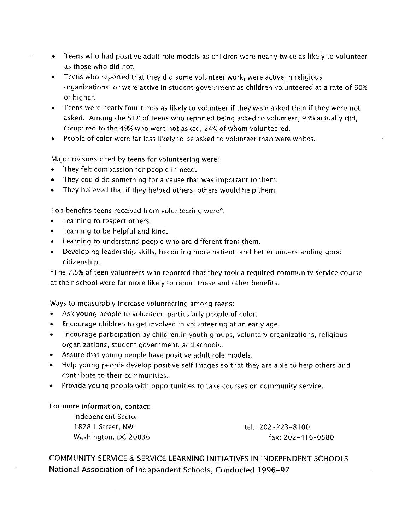- Teens who had positive adult role models as children were nearly twice as likely to volunteer as those who did not.
- Teens who reported that they did some volunteer work, were active in religious organizations, or were active in student government as children volunteered at a rate of 60% or higher.
- Teens were nearly four times as likely to volunteer if they were asked than if they were not asked. Among the 51% of teens who reported being asked to volunteer, 93% actually did, compared to the 49% who were not asked, 24% of whom volunteered.
- People of color were far less likely to be asked to volunteer than were whites.

Major reasons cited by teens for volunteering were:

- They felt compassion for people in need.
- They could do something for a cause that was important to them.
- They believed that if they helped others, others would help them.

Top benefits teens received from volunteering were\*:

- Learning to respect others.
- Learning to be helpful and kind.
- Learning to understand people who are different from them.
- Developing leadership skills, becoming more patient, and better understanding good citizenship.

···The 7.5% of teen volunteers who reported that they took a required community service course at their school were far more likely to report these and other benefits.

Ways to measurably increase volunteering among teens:

- Ask young people to volunteer, particularly people of color.
- Encourage children to get involved in volunteering at an early age.
- Encourage participation by children in youth groups, voluntary organizations, religious organizations, student government, and schools.
- Assure that young people have positive adult role models.
- Help young people develop positive self images so that they are able to help others and contribute to their communities.
- Provide young people with opportunities to take courses on community service.

For more information, contact: Independent Sector

1828 LStreet, NW Washington, DC 20036

tel.: 202-223-8100 fax: 202-416-0580

COMMUNITY SERVICE & SERVICE LEARNING INITIATIVES IN INDEPENDENT SCHOOLS National Association of Independent Schools, Conducted 1996-97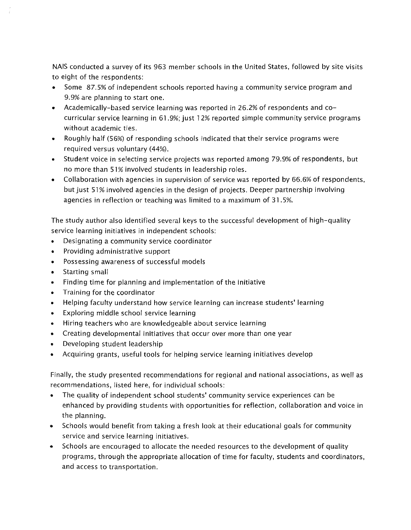NAIS conducted a survey of its 963 member schools in the United States, followed by site visits to eight of the respondents:

- Some 87.5% of independent schools reported having a community service program and 9.9% are planning to start one.
- Academically-based service learning was reported in 26.2% of respondents and cocurricular service learning in 61.9%; just 12% reported simple community service programs without academic ties.
- Roughly half (56%) of responding schools indicated that their service programs were required versus voluntary (44%).
- Student voice in selecting service projects was reported among 79.9% of respondents, but no more than 51% involved students in leadership roles.
- Collaboration with agencies in supervision of service was reported by 66.6% of respondents, but just 51% involved agencies in the design of projects. Deeper partnership involving agencies in reflection or teaching was limited to a maximum of 31.5%.

The study author also identified several keys to the successful development of high-quality service learning initiatives in independent schools:

- Designating a community service coordinator
- Providing administrative support
- Possessing awareness of successful models
- Starting small
- Finding time for planning and implementation of the initiative
- Training for the coordinator
- Helping faculty understand how service learning can increase students' learning
- Exploring middle school service learning
- Hiring teachers who are knowledgeable about service learning
- Creating developmental initiatives that occur over more than one year
- Developing student leadership
- Acquiring grants, useful tools for helping service learning initiatives develop

Finally, the study presented recommendations for regional and national associations, as well as recommendations, listed here, for individual schools:

- The quality of independent school students' community service experiences can be enhanced by providing students with opportunities for reflection, collaboration and voice in the planning.
- Schools would benefit from taking a fresh look at their educational goals for community service and service learning initiatives.
- Schools are encouraged to allocate the needed resources to the development of quality programs, through the appropriate allocation of time for faculty, students and coordinators, and access to transportation.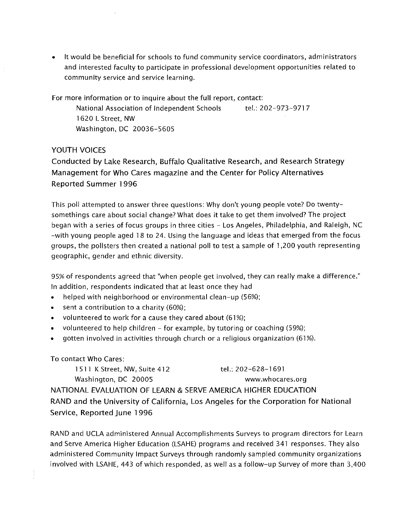• It would be beneficial for schools to fund community service coordinators, administrators and interested faculty to participate in professional development opportunities related to community service and service learning.

For more information or to inquire about the full report, contact: National Association of Independent Schools tel.: 202-973-9717 1620 L Street, NW

Washington, DC 20036-5605

## YOUTH VOICES

Conducted by Lake Research, Buffalo Qualitative Research, and Research Strategy Management for Who Cares magazine and the Center for Policy Alternatives Reported Summer 1996

This poll attempted to answer three questions: Why don't young people vote? Do twentysomethings care about social change? What does it take to get them involved? The project began with a series of focus groups in three cities - Los Angeles, Philadelphia, and Raleigh, NC -with young people aged 1 8 to 24. Using the language and ideas that emerged from the focus groups, the pollsters then created a national poll to test a sample of 1,200 youth representing geographic, gender and ethnic diversity.

95% of respondents agreed that "when people get involved, they can really make a difference." In addition, respondents indicated that at least once they had

- helped with neighborhood or environmental clean-up (56%);
- $\bullet$  sent a contribution to a charity (60%);
- volunteered to work for a cause they cared about (61%);
- volunteered to help children for example, by tutoring or coaching (59%);
- gotten involved in activities through church or a religious organization (61%).

## To contact Who Cares:

1511 K Street, NW, Suite 412 tel.: 202-628-1691 Washington, DC 20005 www.whocares.org NATIONAL EVALUATION OF LEARN & SERVE AMERICA HIGHER EDUCATION RAND and the University of California, Los Angeles for the Corporation for National Service, Reported June 1996

RAND and UCLA administered Annual Accomplishments Surveys to program directors for Learn and Serve America Higher Education (LSAHE) programs and received 341 responses. They also administered Community Impact Surveys through randomly sampled community organizations involved with LSAHE, 443 of which responded, as well as a follow-up Survey of more than 3,400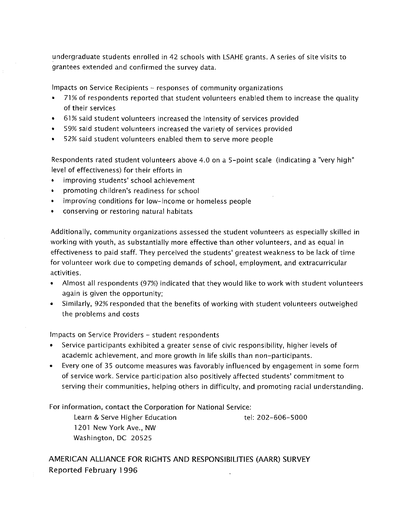undergraduate students enrolled in 42 schools with LSAHE grants. A series of site visits to grantees extended and confirmed the survey data.

Impacts on Service Recipients - responses of community organizations

- 71% of respondents reported that student volunteers enabled them to increase the quality of their services
- 61% said student volunteers increased the intensity of services provided
- 59% said student volunteers increased the variety of services provided
- 52% said student volunteers enabled them to serve more people

Respondents rated student volunteers above 4.0 on a 5-point scale (indicating a "very high" level of effectiveness) for their efforts in

- improving students' school achievement
- promoting children's readiness for school
- improving conditions for low-income or homeless people
- conserving or restoring natural habitats

Additionally, community organizations assessed the student volunteers as especially skilled in working with youth, as substantially more effective than other volunteers, and as equal in effectiveness to paid staff. They perceived the students' greatest weakness to be lack of time for volunteer work due to competing demands of school, employment, and extracurricular activities.

- Almost all respondents (97%) indicated that they would like to work with student volunteers again is given the opportunity;
- Similarly, 92% responded that the benefits of working with student volunteers outweighed the problems and costs

Impacts on Service Providers - student respondents

- Service participants exhibited a greater sense of civic responsibility, higher levels of academic achievement, and more growth in life skills than non-participants.
- Every one of 35 outcome measures was favorably influenced by engagement in some form of service work. Service participation also positively affected students' commitment to serving their communities, helping others in difficulty, and promoting racial understanding.

For information, contact the Corporation for National Service:

Learn & Serve Higher Education tel: 202-606-5000 1201 New York Ave., NW Washington, DC 20525

AMERICAN ALLIANCE FOR RIGHTS AND RESPONSIBILITIES (AARR) SURVEY Reported February 1996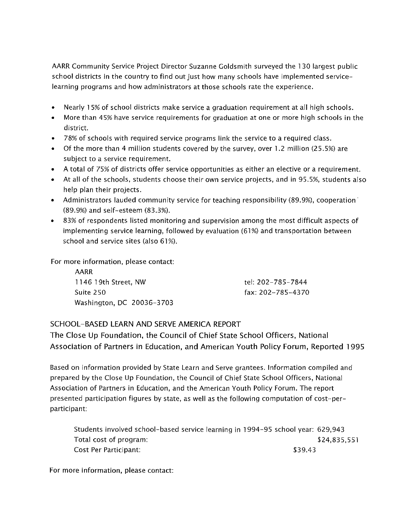AARR Community Service Project Director Suzanne Goldsmith surveyed the 1 30 largest public school districts in the country to find out just how many schools have implemented servicelearning programs and how administrators at those schools rate the experience.

- Nearly 15% of school districts make service a graduation requirement at all high schools.
- More than 45% have service requirements for graduation at one or more high schools in the district.
- 78% of schools with required service programs link the service to a required class.
- Of the more than 4 million students covered by the survey, over 1.2 million (25.5%) are subject to a service requirement.
- A total of 75% of districts offer service opportunities as either an elective or a requirement.
- At all of the schools, students choose their own service projects, and in 95.5%, students also help plan their projects.
- Administrators lauded community service for teaching responsibility (89.9%), cooperation (89.9%) and self-esteem (83.3%).
- 83% of respondents listed monitoring and supervision among the most difficult aspects of implementing service learning, followed by evaluation (61%) and transportation between school and service sites (also 61%).

For more information, please contact:

AARR 11 46 19th Street, NW Suite 250 Washington, DC 20036-3703

tel: 202-785-7844 fax: 202-785-4370

## SCHOOL-BASED LEARN AND SERVE AMERICA REPORT

The Close Up Foundation, the Council of Chief State School Officers, National Association of Partners in Education, and American Youth Policy Forum, Reported 1995

Based on information provided by State Learn and Serve grantees. Information compiled and prepared by the Close Up Foundation, the Council of Chief State School Officers, National Association of Partners in Education, and the American Youth Policy Forum. The report presented participation figures by state, as well as the following computation of cost-perparticipant:

Students involved school-based service learning in 1994-95 school year: 629,943 Total cost of program: Cost Per Participant: \$24,835,551 \$39.43

For more information, please contact: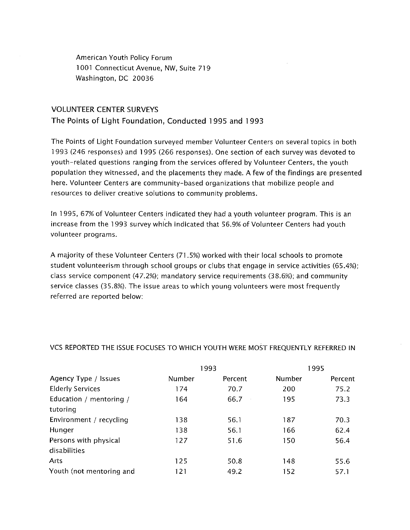American Youth Policy Forum 1001 Connecticut Avenue, NW, Suite 719 Washington, DC 20036

#### VOLUNTEER CENTER SURVEYS

The Points of Light Foundation, Conducted 1995 and 1993

The Points of Light Foundation surveyed member Volunteer Centers on several topics in both l 993 (246 responses) and 1 995 (266 responses). One section of each survey was devoted to youth-related questions ranging from the services offered by Volunteer Centers, the youth population they witnessed, and the placements they made. A few of the findings are presented here. Volunteer Centers are community-based organizations that mobilize people and resources to deliver creative solutions to community problems.

In 1995, 67% of Volunteer Centers indicated they had a youth volunteer program. This is an increase from the 1993 survey which indicated that 56.9% of Volunteer Centers had youth volunteer programs.

A majority of these Volunteer Centers (71.5%) worked with their local schools to promote student volunteerism through school groups or clubs that engage in service activities (65.4%); class service component (47.2%); mandatory service requirements (38.6%); and community service classes (35.8%). The issue areas to which young volunteers were most frequently referred are reported below:

|                          |        | 1993    |        | 1995    |
|--------------------------|--------|---------|--------|---------|
| Agency Type / Issues     | Number | Percent | Number | Percent |
| <b>Elderly Services</b>  | 174    | 70.7    | 200    | 75.2    |
| Education / mentoring /  | 164    | 66.7    | 195    | 73.3    |
| tutoring                 |        |         |        |         |
| Environment / recycling  | 138    | 56.1    | 187    | 70.3    |
| Hunger                   | 138    | 56.1    | 166    | 62.4    |
| Persons with physical    | 127    | 51.6    | 150    | 56.4    |
| disabilities             |        |         |        |         |
| Arts                     | 125    | 50.8    | 148    | 55.6    |
| Youth (not mentoring and | 121    | 49.2    | 152    | 57.1    |

#### VCS REPORTED THE ISSUE FOCUSES TO WHICH YOUTH WERE MOST FREQUENTLY REFERRED IN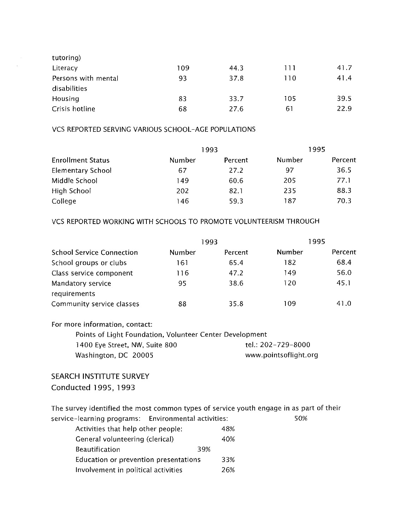| tutoring)           |     |      |     |      |
|---------------------|-----|------|-----|------|
| Literacy            | 109 | 44.3 | 111 | 41.7 |
| Persons with mental | 93  | 37.8 | 110 | 41.4 |
| disabilities        |     |      |     |      |
| Housing             | 83  | 33.7 | 105 | 39.5 |
| Crisis hotline      | 68  | 27.6 | 61  | 22.9 |

#### VCS REPORTED SERVING VARIOUS SCHOOL-AGE POPULATIONS

|                          |        | 1993    | 1995   |         |
|--------------------------|--------|---------|--------|---------|
| <b>Enrollment Status</b> | Number | Percent | Number | Percent |
| <b>Elementary School</b> | 67     | 27.2    | 97     | 36.5    |
| Middle School            | 149    | 60.6    | 205    | 77.1    |
| High School              | 202    | 82.1    | 235    | 88.3    |
| College                  | 146    | 59.3    | 187    | 70.3    |

#### VCS REPORTED WORKING WITH SCHOOLS TO PROMOTE VOLUNTEERISM THROUGH

|                                  |               | 1993    | 1995   |         |
|----------------------------------|---------------|---------|--------|---------|
| <b>School Service Connection</b> | <b>Number</b> | Percent | Number | Percent |
| School groups or clubs           | 161           | 65.4    | 182    | 68.4    |
| Class service component          | 116           | 47.2    | 149    | 56.0    |
| Mandatory service                | 95            | 38.6    | 120    | 45.1    |
| requirements                     |               |         |        |         |
| Community service classes        | 88            | 35.8    | 109    | 41.0    |

#### For more information, contact:

| Points of Light Foundation, Volunteer Center Development |                       |
|----------------------------------------------------------|-----------------------|
| 1400 Eye Street, NW, Suite 800                           | tel.: 202–729–8000    |
| Washington, DC 20005                                     | www.pointsoflight.org |

## SEARCH INSTITUTE SURVEY Conducted 1995, 1993

The survey identified the most common types of service youth engage in as part of their service-learning programs: Environmental activities: 50%

| Activities that help other people:    | 48% |
|---------------------------------------|-----|
| General volunteering (clerical)       | 40% |
| 39%<br><b>Beautification</b>          |     |
| Education or prevention presentations | 33% |
| Involvement in political activities   | 26% |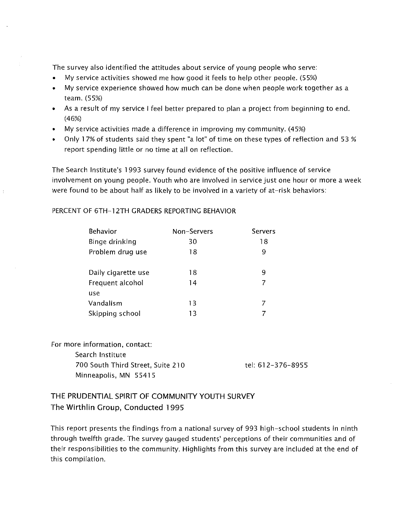The survey also identified the attitudes about service of young people who serve:

- My service activities showed me how good it feels to help other people. (55%)
- My service experience showed how much can be done when people work together as a team. (55%)
- As a result of my service I feel better prepared to plan a project from beginning to end. (46%)
- My service activities made a difference in improving my community. (45%)
- Only 1 7% of students said they spent "a lot" of time on these types of reflection and 53% report spending little or no time at all on reflection.

The Search Institute's 1 993 survey found evidence of the positive influence of service involvement on young people. Youth who are involved in service just one hour or more a week were found to be about half as likely to be involved in a variety of at-risk behaviors:

## PERCENT OF 6TH-12TH GRADERS REPORTING BEHAVIOR

| <b>Behavior</b>     | Non-Servers | Servers |
|---------------------|-------------|---------|
| Binge drinking      | 30          | 18      |
| Problem drug use    | 18          | 9       |
|                     |             |         |
| Daily cigarette use | 18          | 9       |
| Frequent alcohol    | 14          |         |
| use                 |             |         |
| Vandalism           | 13          |         |
| Skipping school     | 13          |         |

For more information, contact: Search Institute 700 South Third Street, Suite 210 Minneapolis, MN 55415

tel: 61 2-3 76-895 5

## THE PRUDENTIAL SPIRIT OF COMMUNITY YOUTH SURVEY The Wirthlin Group, Conducted 1995

This report presents the findings from a national survey of 993 high-school students in ninth through twelfth grade. The survey gauged students' perceptions of their communities and of their responsibilities to the community. Highlights from this survey are included at the end of this compilation.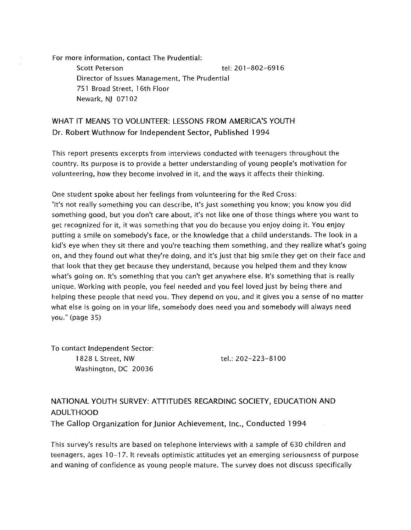For more information, contact The Prudential: Scott Peterson tel: 201-802-6916 Director of Issues Management, The Prudential 751 Broad Street, 1 6th Floor Newark, NJ 07102

## WHAT IT MEANS TO VOLUNTEER: LESSONS FROM AMERICA'S YOUTH Dr. Robert Wuthnow for Independent Sector, Published 1994

This report presents excerpts from interviews conducted with teenagers throughout the country. Its purpose is to provide a better understanding of young people's motivation for volunteering, how they become involved in it, and the ways it affects their thinking.

One student spoke about her feelings from volunteering for the Red Cross: "It's not really something you can describe, it's just something you know; you know you did something good, but you don't care about, it's not like one of those things where you want to get recognized for it, it was something that you do because you enjoy doing it. You enjoy putting a smile on somebody's face, or the knowledge that a child understands. The look in a kid's eye when they sit there and you're teaching them something, and they realize what's going on, and they found out what they're doing, and it's just that big smile they get on their face and that look that they get because they understand, because you helped them and they know what's going on. It's something that you can't get anywhere else. It's something that is really unique. Working with people, you feel needed and you feel loved just by being there and helping these people that need you. They depend on you, and it gives you a sense of no matter what else is going on in your life, somebody does need you and somebody will always need you." (page 35)

To contact Independent Sector: 1828 L Street, NW Washington, DC 20036

tel.: 202-223-8100

# NATIONAL YOUTH SURVEY: ATTITUDES REGARDING SOCIETY, EDUCATION AND ADULTHOOD

The Gallop Organization for junior Achievement, Inc., Conducted 1994

This survey's results are based on telephone interviews with a sample of 630 children and teenagers, ages 10-17. It reveals optimistic attitudes yet an emerging seriousness of purpose and waning of confidence as young people mature. The survey does not discuss specifically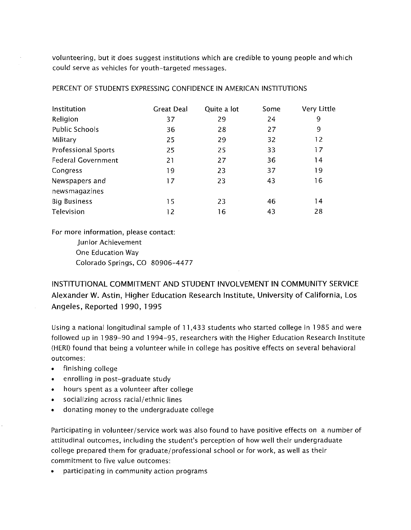volunteering, but it does suggest institutions which are credible to young people and which could serve as vehicles for youth-targeted messages.

| Institution                | <b>Great Deal</b> | Quite a lot | Some | Very Little |
|----------------------------|-------------------|-------------|------|-------------|
| Religion                   | 37                | 29          | 24   | 9           |
| <b>Public Schools</b>      | 36                | 28          | 27   | 9           |
| Military                   | 25                | 29          | 32   | 12          |
| <b>Professional Sports</b> | 25                | 25          | 33   | 17          |
| <b>Federal Government</b>  | 21                | 27          | 36   | 14          |
| Congress                   | 19                | 23          | 37   | 19          |
| Newspapers and             | 17                | 23          | 43   | 16          |
| newsmagazines              |                   |             |      |             |
| <b>Big Business</b>        | 15                | 23          | 46   | 14          |
| Television                 | 12                | 16          | 43   | 28          |

PERCENT OF STUDENTS EXPRESSING CONFIDENCE IN AMERICAN INSTITUTIONS

For more information, please contact:

**Junior Achievement** 

One Education Way

Colorado Springs, CO 80906-4477

INSTITUTIONAL COMMITMENT AND STUDENT INVOLVEMENT IN COMMUNITY SERVICE Alexander W. Astin, Higher Education Research Institute, University of California, Los Angeles, Reported 1990, 1995

Using a national longitudinal sample of 11,433 students who started college in 1985 and were followed up in 1989-90 and 1994-95, researchers with the Higher Education Research Institute (HERI) found that being a volunteer while in college has positive effects on several behavioral outcomes:

- finishing college
- enrolling in post-graduate study
- hours spent as a volunteer after college
- socializing across racial/ethnic lines
- donating money to the undergraduate college

Participating in volunteer/service work was also found to have positive effects on a number of attitudinal outcomes, including the student's perception of how well their undergraduate college prepared them for graduate/professional school or for work, as well as their commitment to five value outcomes:

• participating in community action programs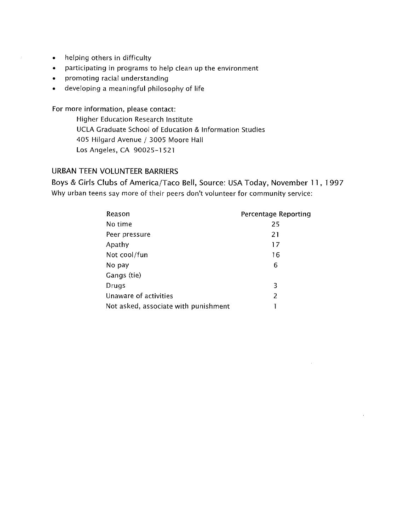- helping others in difficulty
- participating in programs to help clean up the environment
- promoting racial understanding
- developing a meaningful philosophy of life

For more information, please contact:

Higher Education Research Institute UCLA Graduate School of Education & Information Studies 405 Hilgard Avenue / 3005 Moore Hall Los Angeles, CA 90025-1521

## URBAN TEEN VOLUNTEER BARRIERS

Boys & Girls Clubs of America/Taco Bell, Source: USA Today, November 11, 1997 Why urban teens say more of their peers don't volunteer for community service:

| Reason                               | Percentage Reporting |
|--------------------------------------|----------------------|
| No time                              | 25                   |
| Peer pressure                        | 21                   |
| Apathy                               | 17                   |
| Not cool/fun                         | 16                   |
| No pay                               | 6                    |
| Gangs (tie)                          |                      |
| Drugs                                | 3                    |
| Unaware of activities                | 2                    |
| Not asked, associate with punishment |                      |

 $\sim$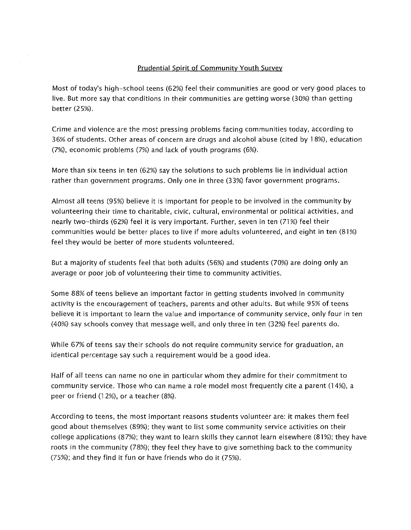#### Prudential Spirit of Community Youth Survey

Most of today's high-school teens (62%) feel their communities are good or very good places to live. But more say that conditions in their communities are getting worse (30%) than getting better (2 5%).

Crime and violence are the most pressing problems facing communities today, according to 36% of students. Other areas of concern are drugs and alcohol abuse (cited by 1 8%), education (7%), economic problems (7%) and lack of youth programs (6%).

More than six teens in ten (62%) say the solutions to such problems lie in individual action rather than government programs. Only one in three (33%) favor government programs.

Almost all teens (95%) believe it is important for people to be involved in the community by volunteering their time to charitable, civic, cultural, environmental or political activities, and nearly two-thirds (62%) feel it is very important. Further, seven in ten (71%) feel their communities would be better places to live if more adults volunteered, and eight in ten (81%) feel they would be better of more students volunteered.

But a majority of students feel that both adults (56%) and students (70%) are doing only an average or poor job of volunteering their time to community activities.

Some 88% of teens believe an important factor in getting students involved in community activity is the encouragement of teachers, parents and other adults. But while 95% of teens believe it is important to learn the value and importance of community service, only four in ten (40%) say schools convey that message well, and only three in ten (32%) feel parents do.

While 67% of teens say their schools do not require community service for graduation, an identical percentage say such a requirement would be a good idea.

Half of all teens can name no one in particular whom they admire for their commitment to community service. Those who can name a role model most frequently cite a parent (14%), a peer or friend (1 2%), or a teacher (8%).

According to teens, the most important reasons students volunteer are: it makes them feel good about themselves (89%); they want to list some community service activities on their college applications (87%); they want to learn skills they cannot learn elsewhere (81%); they have roots in the community (78%); they feel they have to give something back to the community (75%); and they find it fun or have friends who do it (75%).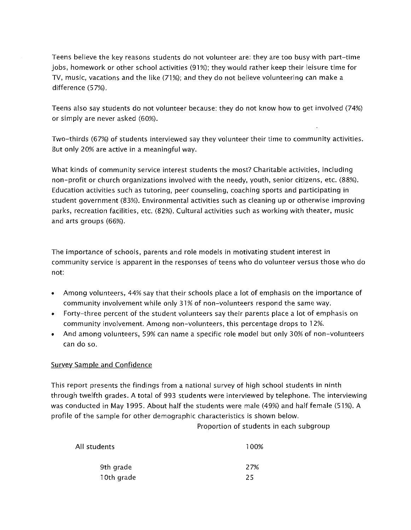Teens believe the key reasons students do not volunteer are: they are too busy with part-time jobs, homework or other school activities (91%); they would rather keep their leisure time for TV, music, vacations and the like (71%); and they do not believe volunteering can make a difference (57%).

Teens also say students do not volunteer because: they do not know how to get involved (74%) or simply are never asked (60%).

Two-thirds (67%) of students interviewed say they volunteer their time to community activities. But only 20% are active in a meaningful way.

What kinds of community service interest students the most? Charitable activities, including non-profit or church organizations involved with the needy, youth, senior citizens, etc. (88%). Education activities such as tutoring, peer counseling, coaching sports and participating in student government (83%). Environmental activities such as cleaning up or otherwise improving parks, recreation facilities, etc. (82%). Cultural activities such as working with theater, music and arts groups (66%).

The importance of schools, parents and role models in motivating student interest in community service is apparent in the responses of teens who do volunteer versus those who do not:

- Among volunteers, 44% say that their schools place a lot of emphasis on the importance of community involvement while only 31% of non-volunteers respond the same way.
- Forty-three percent of the student volunteers say their parents place a lot of emphasis on community involvement. Among non-volunteers, this percentage drops to 1 2%.
- And among volunteers, 59% can name a specific role model but only 30% of non-volunteers can do so.

## Survey Sample and Confidence

This report presents the findings from a national survey of high school students in ninth through twelfth grades. A total of 993 students were interviewed by telephone. The interviewing was conducted in May 1995. About half the students were male (49%) and half female (51%). A profile of the sample for other demographic characteristics is shown below.

Proportion of students in each subgroup

| All students | 100% |
|--------------|------|
| 9th grade    | 27%  |
| 10th grade   | 25   |